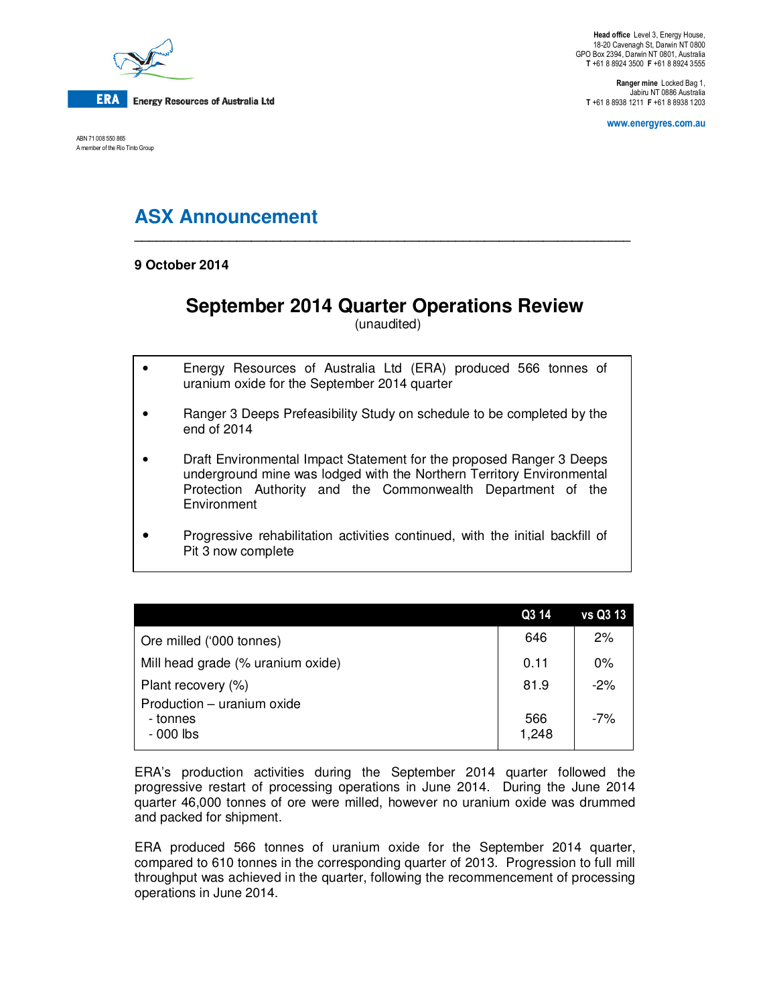

ABN 71 008 550 865 A member of the Rio Tinto Group

**Ranger mine** Locked Bag 1, Jabiru NT 0886 Australia **T** +61 8 8938 1211 **F** +61 8 8938 1203

**www.energyres.com.au** 

# **ASX Announcement \_\_\_\_\_\_\_\_\_\_\_\_\_\_\_\_\_\_\_\_\_\_\_\_\_\_\_\_\_\_\_\_\_\_\_\_\_\_\_\_\_\_\_\_\_\_\_\_\_\_\_\_\_\_\_\_\_\_\_\_\_\_\_\_\_\_\_\_**

**9 October 2014** 

# **September 2014 Quarter Operations Review**

(unaudited)

- Energy Resources of Australia Ltd (ERA) produced 566 tonnes of uranium oxide for the September 2014 quarter
- Ranger 3 Deeps Prefeasibility Study on schedule to be completed by the end of 2014
- Draft Environmental Impact Statement for the proposed Ranger 3 Deeps underground mine was lodged with the Northern Territory Environmental Protection Authority and the Commonwealth Department of the **Environment**
- Progressive rehabilitation activities continued, with the initial backfill of Pit 3 now complete

|                                                      | Q3 14        | vs Q3 13 |
|------------------------------------------------------|--------------|----------|
| Ore milled ('000 tonnes)                             | 646          | 2%       |
| Mill head grade (% uranium oxide)                    | 0.11         | 0%       |
| Plant recovery (%)                                   | 81.9         | $-2%$    |
| Production - uranium oxide<br>- tonnes<br>$-000$ lbs | 566<br>1,248 | $-7%$    |

ERA's production activities during the September 2014 quarter followed the progressive restart of processing operations in June 2014. During the June 2014 quarter 46,000 tonnes of ore were milled, however no uranium oxide was drummed and packed for shipment.

ERA produced 566 tonnes of uranium oxide for the September 2014 quarter, compared to 610 tonnes in the corresponding quarter of 2013. Progression to full mill throughput was achieved in the quarter, following the recommencement of processing operations in June 2014.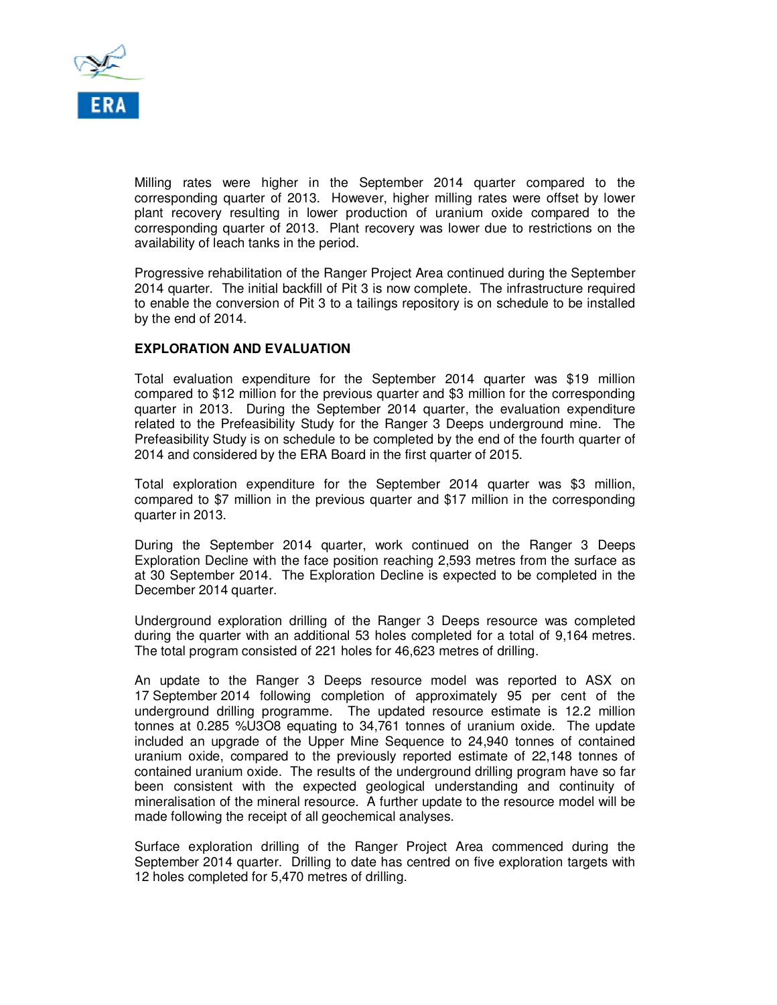

Milling rates were higher in the September 2014 quarter compared to the corresponding quarter of 2013. However, higher milling rates were offset by lower plant recovery resulting in lower production of uranium oxide compared to the corresponding quarter of 2013. Plant recovery was lower due to restrictions on the availability of leach tanks in the period.

Progressive rehabilitation of the Ranger Project Area continued during the September 2014 quarter. The initial backfill of Pit 3 is now complete. The infrastructure required to enable the conversion of Pit 3 to a tailings repository is on schedule to be installed by the end of 2014.

# **EXPLORATION AND EVALUATION**

Total evaluation expenditure for the September 2014 quarter was \$19 million compared to \$12 million for the previous quarter and \$3 million for the corresponding quarter in 2013. During the September 2014 quarter, the evaluation expenditure related to the Prefeasibility Study for the Ranger 3 Deeps underground mine. The Prefeasibility Study is on schedule to be completed by the end of the fourth quarter of 2014 and considered by the ERA Board in the first quarter of 2015.

Total exploration expenditure for the September 2014 quarter was \$3 million, compared to \$7 million in the previous quarter and \$17 million in the corresponding quarter in 2013.

During the September 2014 quarter, work continued on the Ranger 3 Deeps Exploration Decline with the face position reaching 2,593 metres from the surface as at 30 September 2014. The Exploration Decline is expected to be completed in the December 2014 quarter.

Underground exploration drilling of the Ranger 3 Deeps resource was completed during the quarter with an additional 53 holes completed for a total of 9,164 metres. The total program consisted of 221 holes for 46,623 metres of drilling.

An update to the Ranger 3 Deeps resource model was reported to ASX on 17 September 2014 following completion of approximately 95 per cent of the underground drilling programme. The updated resource estimate is 12.2 million tonnes at 0.285 %U3O8 equating to 34,761 tonnes of uranium oxide. The update included an upgrade of the Upper Mine Sequence to 24,940 tonnes of contained uranium oxide, compared to the previously reported estimate of 22,148 tonnes of contained uranium oxide. The results of the underground drilling program have so far been consistent with the expected geological understanding and continuity of mineralisation of the mineral resource. A further update to the resource model will be made following the receipt of all geochemical analyses.

Surface exploration drilling of the Ranger Project Area commenced during the September 2014 quarter. Drilling to date has centred on five exploration targets with 12 holes completed for 5,470 metres of drilling.